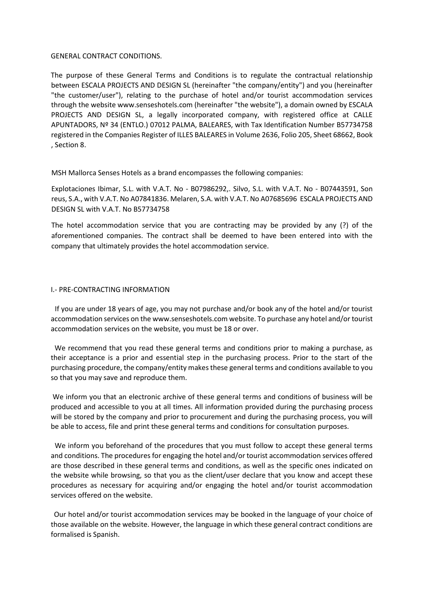#### GENERAL CONTRACT CONDITIONS.

The purpose of these General Terms and Conditions is to regulate the contractual relationship between ESCALA PROJECTS AND DESIGN SL (hereinafter "the company/entity") and you (hereinafter "the customer/user"), relating to the purchase of hotel and/or tourist accommodation services through the website www.senseshotels.com (hereinafter "the website"), a domain owned by ESCALA PROJECTS AND DESIGN SL, a legally incorporated company, with registered office at CALLE APUNTADORS, Nº 34 (ENTLO.) 07012 PALMA, BALEARES, with Tax Identification Number B57734758 registered in the Companies Register of ILLES BALEARES in Volume 2636, Folio 205, Sheet 68662, Book , Section 8.

MSH Mallorca Senses Hotels as a brand encompasses the following companies:

Explotaciones Ibimar, S.L. with V.A.T. No - B07986292,. Silvo, S.L. with V.A.T. No - B07443591, Son reus, S.A., with V.A.T. No A07841836. Melaren, S.A. with V.A.T. No A07685696 ESCALA PROJECTS AND DESIGN SL with V.A.T. No B57734758

The hotel accommodation service that you are contracting may be provided by any (?) of the aforementioned companies. The contract shall be deemed to have been entered into with the company that ultimately provides the hotel accommodation service.

# I.- PRE-CONTRACTING INFORMATION

If you are under 18 years of age, you may not purchase and/or book any of the hotel and/or tourist accommodation services on the www.senseshotels.com website. To purchase any hotel and/or tourist accommodation services on the website, you must be 18 or over.

We recommend that you read these general terms and conditions prior to making a purchase, as their acceptance is a prior and essential step in the purchasing process. Prior to the start of the purchasing procedure, the company/entity makes these general terms and conditions available to you so that you may save and reproduce them.

We inform you that an electronic archive of these general terms and conditions of business will be produced and accessible to you at all times. All information provided during the purchasing process will be stored by the company and prior to procurement and during the purchasing process, you will be able to access, file and print these general terms and conditions for consultation purposes.

We inform you beforehand of the procedures that you must follow to accept these general terms and conditions. The procedures for engaging the hotel and/or tourist accommodation services offered are those described in these general terms and conditions, as well as the specific ones indicated on the website while browsing, so that you as the client/user declare that you know and accept these procedures as necessary for acquiring and/or engaging the hotel and/or tourist accommodation services offered on the website.

Our hotel and/or tourist accommodation services may be booked in the language of your choice of those available on the website. However, the language in which these general contract conditions are formalised is Spanish.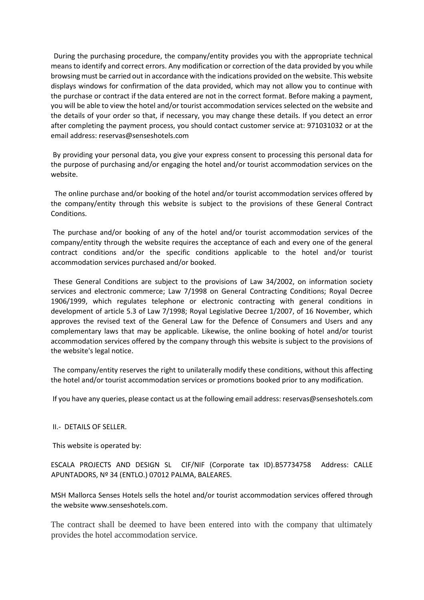During the purchasing procedure, the company/entity provides you with the appropriate technical means to identify and correct errors. Any modification or correction of the data provided by you while browsing must be carried out in accordance with the indications provided on the website. This website displays windows for confirmation of the data provided, which may not allow you to continue with the purchase or contract if the data entered are not in the correct format. Before making a payment, you will be able to view the hotel and/or tourist accommodation services selected on the website and the details of your order so that, if necessary, you may change these details. If you detect an error after completing the payment process, you should contact customer service at: 971031032 or at the email address: reservas@senseshotels.com

By providing your personal data, you give your express consent to processing this personal data for the purpose of purchasing and/or engaging the hotel and/or tourist accommodation services on the website.

The online purchase and/or booking of the hotel and/or tourist accommodation services offered by the company/entity through this website is subject to the provisions of these General Contract Conditions.

The purchase and/or booking of any of the hotel and/or tourist accommodation services of the company/entity through the website requires the acceptance of each and every one of the general contract conditions and/or the specific conditions applicable to the hotel and/or tourist accommodation services purchased and/or booked.

These General Conditions are subject to the provisions of Law 34/2002, on information society services and electronic commerce; Law 7/1998 on General Contracting Conditions; Royal Decree 1906/1999, which regulates telephone or electronic contracting with general conditions in development of article 5.3 of Law 7/1998; Royal Legislative Decree 1/2007, of 16 November, which approves the revised text of the General Law for the Defence of Consumers and Users and any complementary laws that may be applicable. Likewise, the online booking of hotel and/or tourist accommodation services offered by the company through this website is subject to the provisions of the website's legal notice.

The company/entity reserves the right to unilaterally modify these conditions, without this affecting the hotel and/or tourist accommodation services or promotions booked prior to any modification.

If you have any queries, please contact us at the following email address: reservas@senseshotels.com

II.- DETAILS OF SELLER.

This website is operated by:

ESCALA PROJECTS AND DESIGN SL CIF/NIF (Corporate tax ID).B57734758 Address: CALLE APUNTADORS, Nº 34 (ENTLO.) 07012 PALMA, BALEARES.

MSH Mallorca Senses Hotels sells the hotel and/or tourist accommodation services offered through the website www.senseshotels.com.

The contract shall be deemed to have been entered into with the company that ultimately provides the hotel accommodation service.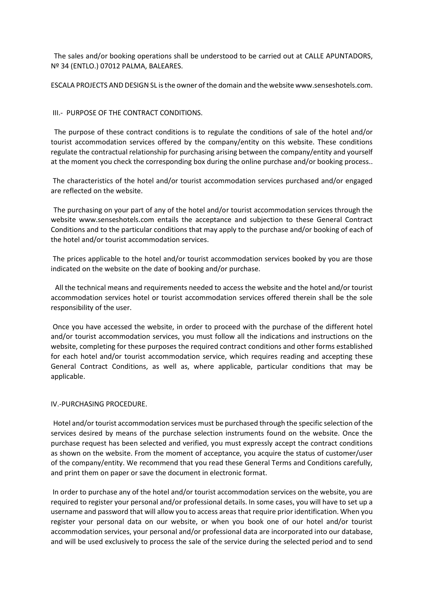The sales and/or booking operations shall be understood to be carried out at CALLE APUNTADORS, Nº 34 (ENTLO.) 07012 PALMA, BALEARES.

ESCALA PROJECTS AND DESIGN SL is the owner of the domain and the website www.senseshotels.com.

#### III.- PURPOSE OF THE CONTRACT CONDITIONS.

The purpose of these contract conditions is to regulate the conditions of sale of the hotel and/or tourist accommodation services offered by the company/entity on this website. These conditions regulate the contractual relationship for purchasing arising between the company/entity and yourself at the moment you check the corresponding box during the online purchase and/or booking process..

The characteristics of the hotel and/or tourist accommodation services purchased and/or engaged are reflected on the website.

The purchasing on your part of any of the hotel and/or tourist accommodation services through the website www.senseshotels.com entails the acceptance and subjection to these General Contract Conditions and to the particular conditions that may apply to the purchase and/or booking of each of the hotel and/or tourist accommodation services.

The prices applicable to the hotel and/or tourist accommodation services booked by you are those indicated on the website on the date of booking and/or purchase.

All the technical means and requirements needed to access the website and the hotel and/or tourist accommodation services hotel or tourist accommodation services offered therein shall be the sole responsibility of the user.

Once you have accessed the website, in order to proceed with the purchase of the different hotel and/or tourist accommodation services, you must follow all the indications and instructions on the website, completing for these purposes the required contract conditions and other forms established for each hotel and/or tourist accommodation service, which requires reading and accepting these General Contract Conditions, as well as, where applicable, particular conditions that may be applicable.

#### IV.-PURCHASING PROCEDURE.

Hotel and/or tourist accommodation services must be purchased through the specific selection of the services desired by means of the purchase selection instruments found on the website. Once the purchase request has been selected and verified, you must expressly accept the contract conditions as shown on the website. From the moment of acceptance, you acquire the status of customer/user of the company/entity. We recommend that you read these General Terms and Conditions carefully, and print them on paper or save the document in electronic format.

In order to purchase any of the hotel and/or tourist accommodation services on the website, you are required to register your personal and/or professional details. In some cases, you will have to set up a username and password that will allow you to access areas that require prior identification. When you register your personal data on our website, or when you book one of our hotel and/or tourist accommodation services, your personal and/or professional data are incorporated into our database, and will be used exclusively to process the sale of the service during the selected period and to send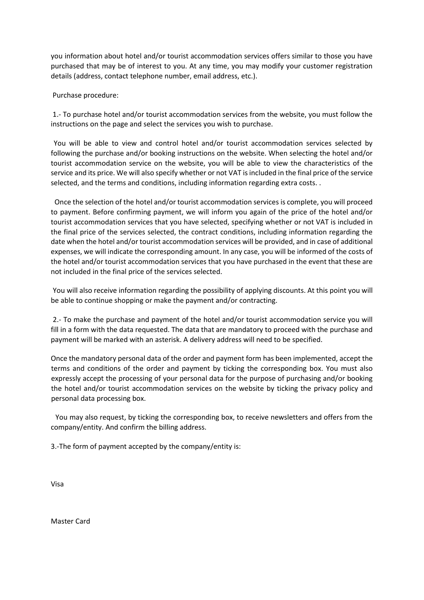you information about hotel and/or tourist accommodation services offers similar to those you have purchased that may be of interest to you. At any time, you may modify your customer registration details (address, contact telephone number, email address, etc.).

Purchase procedure:

1.- To purchase hotel and/or tourist accommodation services from the website, you must follow the instructions on the page and select the services you wish to purchase.

You will be able to view and control hotel and/or tourist accommodation services selected by following the purchase and/or booking instructions on the website. When selecting the hotel and/or tourist accommodation service on the website, you will be able to view the characteristics of the service and its price. We will also specify whether or not VAT is included in the final price of the service selected, and the terms and conditions, including information regarding extra costs. .

Once the selection of the hotel and/or tourist accommodation services is complete, you will proceed to payment. Before confirming payment, we will inform you again of the price of the hotel and/or tourist accommodation services that you have selected, specifying whether or not VAT is included in the final price of the services selected, the contract conditions, including information regarding the date when the hotel and/or tourist accommodation services will be provided, and in case of additional expenses, we will indicate the corresponding amount. In any case, you will be informed of the costs of the hotel and/or tourist accommodation services that you have purchased in the event that these are not included in the final price of the services selected.

You will also receive information regarding the possibility of applying discounts. At this point you will be able to continue shopping or make the payment and/or contracting.

2.- To make the purchase and payment of the hotel and/or tourist accommodation service you will fill in a form with the data requested. The data that are mandatory to proceed with the purchase and payment will be marked with an asterisk. A delivery address will need to be specified.

Once the mandatory personal data of the order and payment form has been implemented, accept the terms and conditions of the order and payment by ticking the corresponding box. You must also expressly accept the processing of your personal data for the purpose of purchasing and/or booking the hotel and/or tourist accommodation services on the website by ticking the privacy policy and personal data processing box.

You may also request, by ticking the corresponding box, to receive newsletters and offers from the company/entity. And confirm the billing address.

3.-The form of payment accepted by the company/entity is:

Visa

Master Card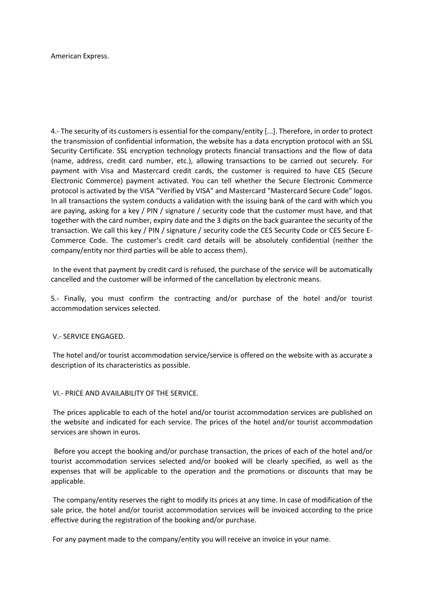American Express.

4.- The security of its customers is essential for the company/entity [...]. Therefore, in order to protect the transmission of confidential information, the website has a data encryption protocol with an SSL Security Certificate. SSL encryption technology protects financial transactions and the flow of data (name, address, credit card number, etc.), allowing transactions to be carried out securely. For payment with Visa and Mastercard credit cards, the customer is required to have CES (Secure Electronic Commerce) payment activated. You can tell whether the Secure Electronic Commerce protocol is activated by the VISA "Verified by VISA" and Mastercard "Mastercard Secure Code" logos. In all transactions the system conducts a validation with the issuing bank of the card with which you are paying, asking for a key / PIN / signature / security code that the customer must have, and that together with the card number, expiry date and the 3 digits on the back guarantee the security of the transaction. We call this key / PIN / signature / security code the CES Security Code or CES Secure E-Commerce Code. The customer's credit card details will be absolutely confidential (neither the company/entity nor third parties will be able to access them).

In the event that payment by credit card is refused, the purchase of the service will be automatically cancelled and the customer will be informed of the cancellation by electronic means.

5.- Finally, you must confirm the contracting and/or purchase of the hotel and/or tourist accommodation services selected.

V.- SERVICE ENGAGED.

The hotel and/or tourist accommodation service/service is offered on the website with as accurate a description of its characteristics as possible.

VI.- PRICE AND AVAILABILITY OF THE SERVICE.

The prices applicable to each of the hotel and/or tourist accommodation services are published on the website and indicated for each service. The prices of the hotel and/or tourist accommodation services are shown in euros.

Before you accept the booking and/or purchase transaction, the prices of each of the hotel and/or tourist accommodation services selected and/or booked will be clearly specified, as well as the expenses that will be applicable to the operation and the promotions or discounts that may be applicable.

The company/entity reserves the right to modify its prices at any time. In case of modification of the sale price, the hotel and/or tourist accommodation services will be invoiced according to the price effective during the registration of the booking and/or purchase.

For any payment made to the company/entity you will receive an invoice in your name.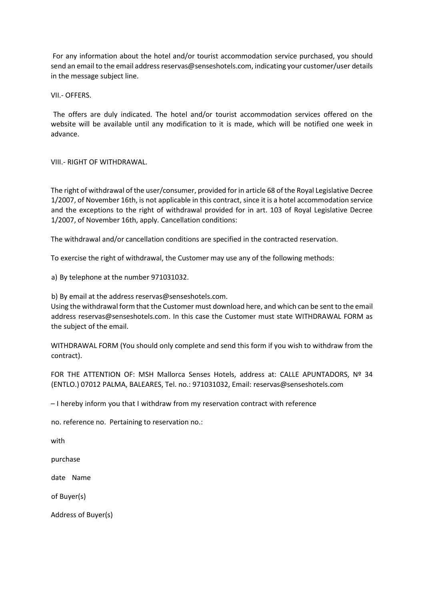For any information about the hotel and/or tourist accommodation service purchased, you should send an email to the email address reservas@senseshotels.com, indicating your customer/user details in the message subject line.

VII.- OFFERS.

The offers are duly indicated. The hotel and/or tourist accommodation services offered on the website will be available until any modification to it is made, which will be notified one week in advance.

VIII.- RIGHT OF WITHDRAWAL.

The right of withdrawal of the user/consumer, provided for in article 68 of the Royal Legislative Decree 1/2007, of November 16th, is not applicable in this contract, since it is a hotel accommodation service and the exceptions to the right of withdrawal provided for in art. 103 of Royal Legislative Decree 1/2007, of November 16th, apply. Cancellation conditions:

The withdrawal and/or cancellation conditions are specified in the contracted reservation.

To exercise the right of withdrawal, the Customer may use any of the following methods:

a) By telephone at the number 971031032.

b) By email at the address reservas@senseshotels.com.

Using the withdrawal form that the Customer must download here, and which can be sent to the email address reservas@senseshotels.com. In this case the Customer must state WITHDRAWAL FORM as the subject of the email.

WITHDRAWAL FORM (You should only complete and send this form if you wish to withdraw from the contract).

FOR THE ATTENTION OF: MSH Mallorca Senses Hotels, address at: CALLE APUNTADORS, Nº 34 (ENTLO.) 07012 PALMA, BALEARES, Tel. no.: 971031032, Email: reservas@senseshotels.com

– I hereby inform you that I withdraw from my reservation contract with reference

no. reference no. Pertaining to reservation no.:

with

purchase

date Name

of Buyer(s)

Address of Buyer(s)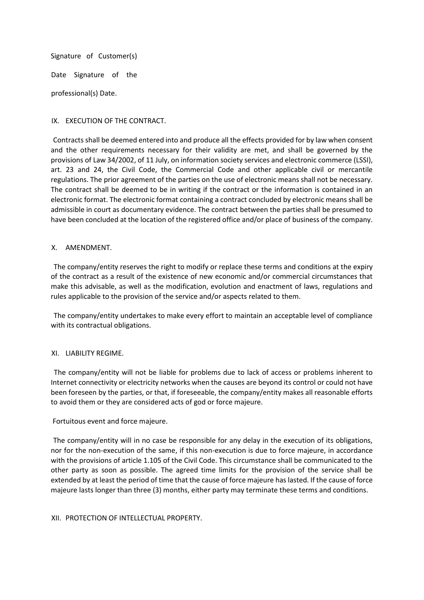Signature of Customer(s)

Date Signature of the

professional(s) Date.

# IX. EXECUTION OF THE CONTRACT.

Contracts shall be deemed entered into and produce all the effects provided for by law when consent and the other requirements necessary for their validity are met, and shall be governed by the provisions of Law 34/2002, of 11 July, on information society services and electronic commerce (LSSI), art. 23 and 24, the Civil Code, the Commercial Code and other applicable civil or mercantile regulations. The prior agreement of the parties on the use of electronic means shall not be necessary. The contract shall be deemed to be in writing if the contract or the information is contained in an electronic format. The electronic format containing a contract concluded by electronic means shall be admissible in court as documentary evidence. The contract between the parties shall be presumed to have been concluded at the location of the registered office and/or place of business of the company.

#### X. AMENDMENT.

The company/entity reserves the right to modify or replace these terms and conditions at the expiry of the contract as a result of the existence of new economic and/or commercial circumstances that make this advisable, as well as the modification, evolution and enactment of laws, regulations and rules applicable to the provision of the service and/or aspects related to them.

The company/entity undertakes to make every effort to maintain an acceptable level of compliance with its contractual obligations.

# XI. LIABILITY REGIME.

The company/entity will not be liable for problems due to lack of access or problems inherent to Internet connectivity or electricity networks when the causes are beyond its control or could not have been foreseen by the parties, or that, if foreseeable, the company/entity makes all reasonable efforts to avoid them or they are considered acts of god or force majeure.

# Fortuitous event and force majeure.

The company/entity will in no case be responsible for any delay in the execution of its obligations, nor for the non-execution of the same, if this non-execution is due to force majeure, in accordance with the provisions of article 1.105 of the Civil Code. This circumstance shall be communicated to the other party as soon as possible. The agreed time limits for the provision of the service shall be extended by at least the period of time that the cause of force majeure has lasted. If the cause of force majeure lasts longer than three (3) months, either party may terminate these terms and conditions.

# XII. PROTECTION OF INTELLECTUAL PROPERTY.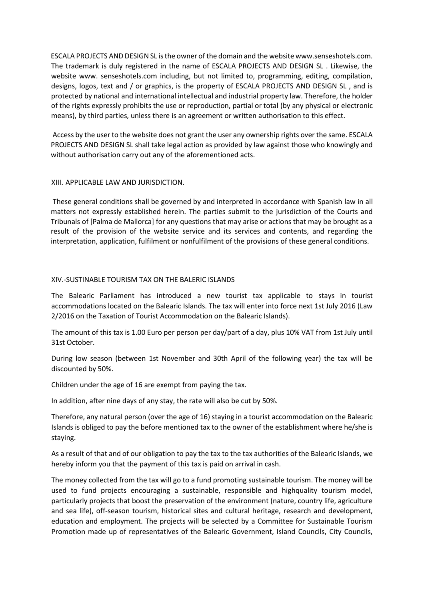ESCALA PROJECTS AND DESIGN SL is the owner of the domain and the website www.senseshotels.com. The trademark is duly registered in the name of ESCALA PROJECTS AND DESIGN SL . Likewise, the website www. senseshotels.com including, but not limited to, programming, editing, compilation, designs, logos, text and / or graphics, is the property of ESCALA PROJECTS AND DESIGN SL , and is protected by national and international intellectual and industrial property law. Therefore, the holder of the rights expressly prohibits the use or reproduction, partial or total (by any physical or electronic means), by third parties, unless there is an agreement or written authorisation to this effect.

Access by the user to the website does not grant the user any ownership rights over the same. ESCALA PROJECTS AND DESIGN SL shall take legal action as provided by law against those who knowingly and without authorisation carry out any of the aforementioned acts.

# XIII. APPLICABLE LAW AND JURISDICTION.

These general conditions shall be governed by and interpreted in accordance with Spanish law in all matters not expressly established herein. The parties submit to the jurisdiction of the Courts and Tribunals of [Palma de Mallorca] for any questions that may arise or actions that may be brought as a result of the provision of the website service and its services and contents, and regarding the interpretation, application, fulfilment or nonfulfilment of the provisions of these general conditions.

#### XIV.-SUSTINABLE TOURISM TAX ON THE BALERIC ISLANDS

The Balearic Parliament has introduced a new tourist tax applicable to stays in tourist accommodations located on the Balearic Islands. The tax will enter into force next 1st July 2016 (Law 2/2016 on the Taxation of Tourist Accommodation on the Balearic Islands).

The amount of this tax is 1.00 Euro per person per day/part of a day, plus 10% VAT from 1st July until 31st October.

During low season (between 1st November and 30th April of the following year) the tax will be discounted by 50%.

Children under the age of 16 are exempt from paying the tax.

In addition, after nine days of any stay, the rate will also be cut by 50%.

Therefore, any natural person (over the age of 16) staying in a tourist accommodation on the Balearic Islands is obliged to pay the before mentioned tax to the owner of the establishment where he/she is staying.

As a result of that and of our obligation to pay the tax to the tax authorities of the Balearic Islands, we hereby inform you that the payment of this tax is paid on arrival in cash.

The money collected from the tax will go to a fund promoting sustainable tourism. The money will be used to fund projects encouraging a sustainable, responsible and highquality tourism model, particularly projects that boost the preservation of the environment (nature, country life, agriculture and sea life), off-season tourism, historical sites and cultural heritage, research and development, education and employment. The projects will be selected by a Committee for Sustainable Tourism Promotion made up of representatives of the Balearic Government, Island Councils, City Councils,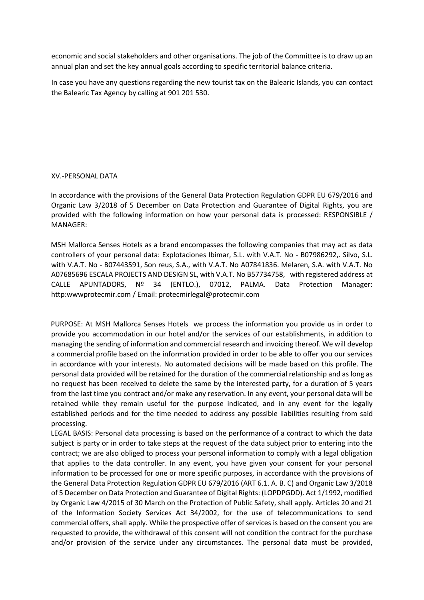economic and social stakeholders and other organisations. The job of the Committee is to draw up an annual plan and set the key annual goals according to specific territorial balance criteria.

In case you have any questions regarding the new tourist tax on the Balearic Islands, you can contact the Balearic Tax Agency by calling at 901 201 530.

# XV.-PERSONAL DATA

In accordance with the provisions of the General Data Protection Regulation GDPR EU 679/2016 and Organic Law 3/2018 of 5 December on Data Protection and Guarantee of Digital Rights, you are provided with the following information on how your personal data is processed: RESPONSIBLE / MANAGER:

MSH Mallorca Senses Hotels as a brand encompasses the following companies that may act as data controllers of your personal data: Explotaciones Ibimar, S.L. with V.A.T. No - B07986292,. Silvo, S.L. with V.A.T. No - B07443591, Son reus, S.A., with V.A.T. No A07841836. Melaren, S.A. with V.A.T. No A07685696 ESCALA PROJECTS AND DESIGN SL, with V.A.T. No B57734758, with registered address at CALLE APUNTADORS, Nº 34 (ENTLO.), 07012, PALMA. Data Protection Manager: http:wwwprotecmir.com / Email: protecmirlegal@protecmir.com

PURPOSE: At MSH Mallorca Senses Hotels we process the information you provide us in order to provide you accommodation in our hotel and/or the services of our establishments, in addition to managing the sending of information and commercial research and invoicing thereof. We will develop a commercial profile based on the information provided in order to be able to offer you our services in accordance with your interests. No automated decisions will be made based on this profile. The personal data provided will be retained for the duration of the commercial relationship and as long as no request has been received to delete the same by the interested party, for a duration of 5 years from the last time you contract and/or make any reservation. In any event, your personal data will be retained while they remain useful for the purpose indicated, and in any event for the legally established periods and for the time needed to address any possible liabilities resulting from said processing.

LEGAL BASIS: Personal data processing is based on the performance of a contract to which the data subject is party or in order to take steps at the request of the data subject prior to entering into the contract; we are also obliged to process your personal information to comply with a legal obligation that applies to the data controller. In any event, you have given your consent for your personal information to be processed for one or more specific purposes, in accordance with the provisions of the General Data Protection Regulation GDPR EU 679/2016 (ART 6.1. A. B. C) and Organic Law 3/2018 of 5 December on Data Protection and Guarantee of Digital Rights: (LOPDPGDD). Act 1/1992, modified by Organic Law 4/2015 of 30 March on the Protection of Public Safety, shall apply. Articles 20 and 21 of the Information Society Services Act 34/2002, for the use of telecommunications to send commercial offers, shall apply. While the prospective offer of services is based on the consent you are requested to provide, the withdrawal of this consent will not condition the contract for the purchase and/or provision of the service under any circumstances. The personal data must be provided,